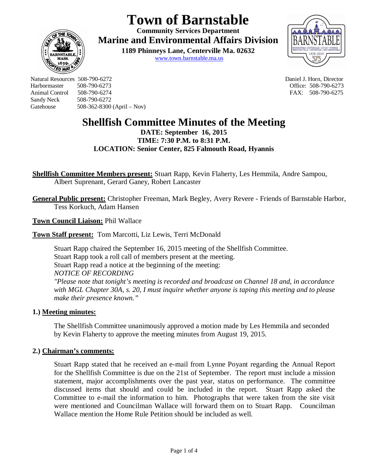# **Town of Barnstable**

**Community Services Department Marine and Environmental Affairs Division** 

> **1189 Phinneys Lane, Centerville Ma. 02632** www.town.barnstable.ma.us



Natural Resources 508-790-6272 Daniel J. Horn, Director Harbormaster 508-790-6273 Office: 508-790-6273 Sandy Neck 508-790-6272 Gatehouse 508-362-8300 (April – Nov)

**ED MI** 

FAX: 508-790-6275

## **Shellfish Committee Minutes of the Meeting**

**DATE: September 16, 2015 TIME: 7:30 P.M. to 8:31 P.M. LOCATION: Senior Center, 825 Falmouth Road, Hyannis**

**Shellfish Committee Members present:** Stuart Rapp, Kevin Flaherty, Les Hemmila, Andre Sampou, Albert Suprenant, Gerard Ganey, Robert Lancaster

**General Public present:** Christopher Freeman, Mark Begley, Avery Revere - Friends of Barnstable Harbor, Tess Korkuch, Adam Hansen

**Town Council Liaison:** Phil Wallace

**Town Staff present:** Tom Marcotti, Liz Lewis, Terri McDonald

Stuart Rapp chaired the September 16, 2015 meeting of the Shellfish Committee. Stuart Rapp took a roll call of members present at the meeting. Stuart Rapp read a notice at the beginning of the meeting: *NOTICE OF RECORDING "Please note that tonight's meeting is recorded and broadcast on Channel 18 and, in accordance with MGL Chapter 30A, s. 20, I must inquire whether anyone is taping this meeting and to please make their presence known."*

### **1.) Meeting minutes:**

The Shellfish Committee unanimously approved a motion made by Les Hemmila and seconded by Kevin Flaherty to approve the meeting minutes from August 19, 2015.

#### **2.) Chairman's comments:**

Stuart Rapp stated that he received an e-mail from Lynne Poyant regarding the Annual Report for the Shellfish Committee is due on the 21st of September. The report must include a mission statement, major accomplishments over the past year, status on performance. The committee discussed items that should and could be included in the report. Stuart Rapp asked the Committee to e-mail the information to him. Photographs that were taken from the site visit were mentioned and Councilman Wallace will forward them on to Stuart Rapp. Councilman Wallace mention the Home Rule Petition should be included as well.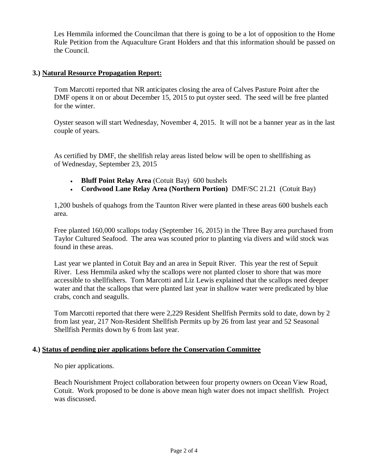Les Hemmila informed the Councilman that there is going to be a lot of opposition to the Home Rule Petition from the Aquaculture Grant Holders and that this information should be passed on the Council.

#### **3.) Natural Resource Propagation Report:**

Tom Marcotti reported that NR anticipates closing the area of Calves Pasture Point after the DMF opens it on or about December 15, 2015 to put oyster seed. The seed will be free planted for the winter.

Oyster season will start Wednesday, November 4, 2015. It will not be a banner year as in the last couple of years.

As certified by DMF, the shellfish relay areas listed below will be open to shellfishing as of Wednesday, September 23, 2015

- **Bluff Point Relay Area** (Cotuit Bay) 600 bushels
- **Cordwood Lane Relay Area (Northern Portion)** DMF/SC 21.21 (Cotuit Bay)

1,200 bushels of quahogs from the Taunton River were planted in these areas 600 bushels each area.

Free planted 160,000 scallops today (September 16, 2015) in the Three Bay area purchased from Taylor Cultured Seafood. The area was scouted prior to planting via divers and wild stock was found in these areas.

Last year we planted in Cotuit Bay and an area in Sepuit River. This year the rest of Sepuit River. Less Hemmila asked why the scallops were not planted closer to shore that was more accessible to shellfishers. Tom Marcotti and Liz Lewis explained that the scallops need deeper water and that the scallops that were planted last year in shallow water were predicated by blue crabs, conch and seagulls.

Tom Marcotti reported that there were 2,229 Resident Shellfish Permits sold to date, down by 2 from last year, 217 Non-Resident Shellfish Permits up by 26 from last year and 52 Seasonal Shellfish Permits down by 6 from last year.

#### **4.) Status of pending pier applications before the Conservation Committee**

No pier applications.

Beach Nourishment Project collaboration between four property owners on Ocean View Road, Cotuit. Work proposed to be done is above mean high water does not impact shellfish. Project was discussed.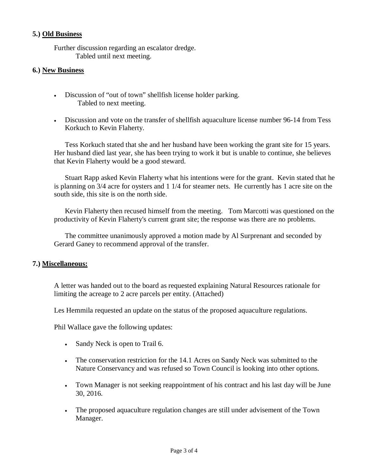#### **5.) Old Business**

Further discussion regarding an escalator dredge. Tabled until next meeting.

#### **6.) New Business**

- Discussion of "out of town" shellfish license holder parking. Tabled to next meeting.
- Discussion and vote on the transfer of shellfish aquaculture license number 96-14 from Tess Korkuch to Kevin Flaherty.

Tess Korkuch stated that she and her husband have been working the grant site for 15 years. Her husband died last year, she has been trying to work it but is unable to continue, she believes that Kevin Flaherty would be a good steward.

Stuart Rapp asked Kevin Flaherty what his intentions were for the grant. Kevin stated that he is planning on 3/4 acre for oysters and 1 1/4 for steamer nets. He currently has 1 acre site on the south side, this site is on the north side.

Kevin Flaherty then recused himself from the meeting. Tom Marcotti was questioned on the productivity of Kevin Flaherty's current grant site; the response was there are no problems.

The committee unanimously approved a motion made by Al Surprenant and seconded by Gerard Ganey to recommend approval of the transfer.

#### **7.) Miscellaneous:**

A letter was handed out to the board as requested explaining Natural Resources rationale for limiting the acreage to 2 acre parcels per entity. (Attached)

Les Hemmila requested an update on the status of the proposed aquaculture regulations.

Phil Wallace gave the following updates:

- Sandy Neck is open to Trail 6.
- The conservation restriction for the 14.1 Acres on Sandy Neck was submitted to the Nature Conservancy and was refused so Town Council is looking into other options.
- Town Manager is not seeking reappointment of his contract and his last day will be June 30, 2016.
- The proposed aquaculture regulation changes are still under advisement of the Town Manager.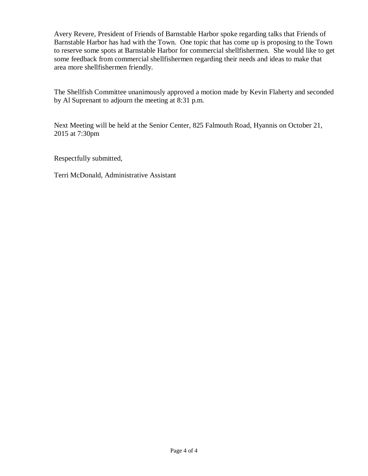Avery Revere, President of Friends of Barnstable Harbor spoke regarding talks that Friends of Barnstable Harbor has had with the Town. One topic that has come up is proposing to the Town to reserve some spots at Barnstable Harbor for commercial shellfishermen. She would like to get some feedback from commercial shellfishermen regarding their needs and ideas to make that area more shellfishermen friendly.

The Shellfish Committee unanimously approved a motion made by Kevin Flaherty and seconded by Al Suprenant to adjourn the meeting at 8:31 p.m.

Next Meeting will be held at the Senior Center, 825 Falmouth Road, Hyannis on October 21, 2015 at 7:30pm

Respectfully submitted,

Terri McDonald, Administrative Assistant